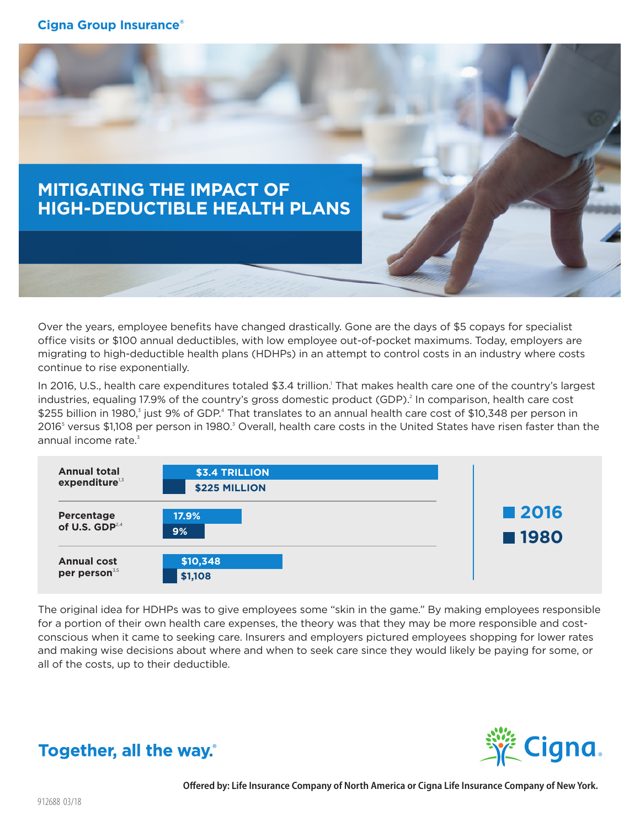

Over the years, employee benefits have changed drastically. Gone are the days of \$5 copays for specialist office visits or \$100 annual deductibles, with low employee out-of-pocket maximums. Today, employers are migrating to high-deductible health plans (HDHPs) in an attempt to control costs in an industry where costs continue to rise exponentially.

In 2016, U.S., health care expenditures totaled \$3.4 trillion. That makes health care one of the country's largest industries, equaling 17.9% of the country's gross domestic product (GDP).<sup>2</sup> In comparison, health care cost \$255 billion in 1980,<sup>3</sup> just 9% of GDP.<sup>4</sup> That translates to an annual health care cost of \$10,348 per person in 2016<sup>s</sup> versus \$1,108 per person in 1980.<sup>3</sup> Overall, health care costs in the United States have risen faster than the annual income rate. $3$ 



The original idea for HDHPs was to give employees some "skin in the game." By making employees responsible for a portion of their own health care expenses, the theory was that they may be more responsible and costconscious when it came to seeking care. Insurers and employers pictured employees shopping for lower rates and making wise decisions about where and when to seek care since they would likely be paying for some, or all of the costs, up to their deductible.



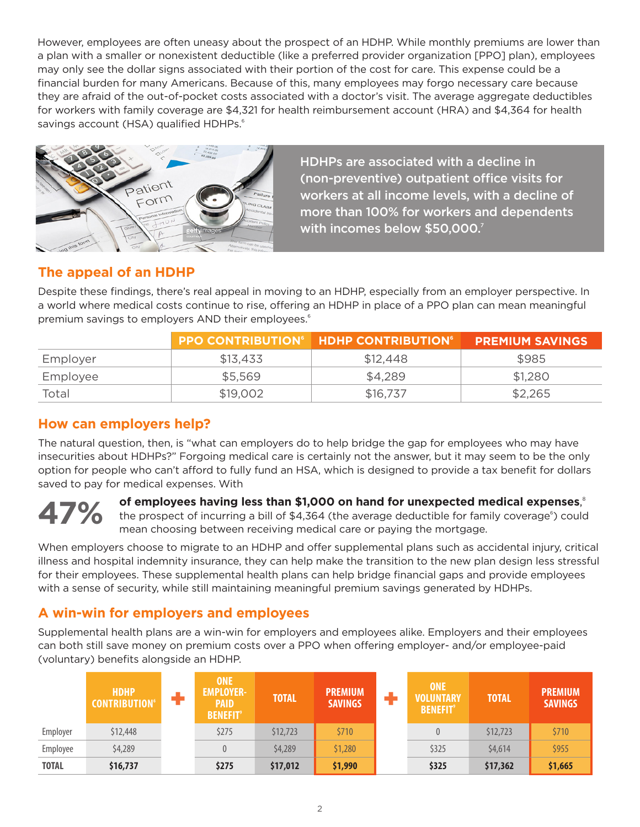However, employees are often uneasy about the prospect of an HDHP. While monthly premiums are lower than a plan with a smaller or nonexistent deductible (like a preferred provider organization [PPO] plan), employees may only see the dollar signs associated with their portion of the cost for care. This expense could be a financial burden for many Americans. Because of this, many employees may forgo necessary care because they are afraid of the out-of-pocket costs associated with a doctor's visit. The average aggregate deductibles for workers with family coverage are \$4,321 for health reimbursement account (HRA) and \$4,364 for health savings account (HSA) qualified HDHPs.<sup>6</sup>



HDHPs are associated with a decline in (non-preventive) outpatient office visits for workers at all income levels, with a decline of more than 100% for workers and dependents with incomes below \$50,000.<sup>7</sup>

### **The appeal of an HDHP**

Despite these findings, there's real appeal in moving to an HDHP, especially from an employer perspective. In a world where medical costs continue to rise, offering an HDHP in place of a PPO plan can mean meaningful premium savings to employers AND their employees.<sup>6</sup>

|          |          | <b>PPO CONTRIBUTION<sup>6</sup> HDHP CONTRIBUTION<sup>6</sup></b> | <b>PREMIUM SAVINGS</b> |
|----------|----------|-------------------------------------------------------------------|------------------------|
| Employer | \$13.433 | \$12,448                                                          | \$985                  |
| Employee | \$5,569  | \$4,289                                                           | \$1,280                |
| Total    | \$19,002 | \$16,737                                                          | \$2,265                |

### **How can employers help?**

The natural question, then, is "what can employers do to help bridge the gap for employees who may have insecurities about HDHPs?" Forgoing medical care is certainly not the answer, but it may seem to be the only option for people who can't afford to fully fund an HSA, which is designed to provide a tax benefit for dollars saved to pay for medical expenses. With



**of employees having less than \$1,000 on hand for unexpected medical expenses**, 8 the prospect of incurring a bill of \$4,364 (the average deductible for family coverage<sup>6</sup>) could mean choosing between receiving medical care or paying the mortgage.

When employers choose to migrate to an HDHP and offer supplemental plans such as accidental injury, critical illness and hospital indemnity insurance, they can help make the transition to the new plan design less stressful for their employees. These supplemental health plans can help bridge financial gaps and provide employees with a sense of security, while still maintaining meaningful premium savings generated by HDHPs.

### **A win-win for employers and employees**

Supplemental health plans are a win-win for employers and employees alike. Employers and their employees can both still save money on premium costs over a PPO when offering employer- and/or employee-paid (voluntary) benefits alongside an HDHP.

|              | <b>HDHP</b><br><b>CONTRIBUTION</b> <sup>6</sup> | <b>ONE</b><br><b>EMPLOYER-</b><br><b>PAID</b><br><b>BENEFIT<sup>®</sup></b> | <b>TOTAL</b> | <b>PREMIUM</b><br><b>SAVINGS</b> | <b>ONE</b><br><b>VOLUNTARY</b><br><b>BENEFIT<sup>®</sup></b> | <b>TOTAL</b> | <b>PREMIUM</b><br><b>SAVINGS</b> |
|--------------|-------------------------------------------------|-----------------------------------------------------------------------------|--------------|----------------------------------|--------------------------------------------------------------|--------------|----------------------------------|
| Employer     | \$12,448                                        | \$275                                                                       | \$12,723     | \$710                            |                                                              | \$12,723     | \$710                            |
| Employee     | \$4,289                                         | 0                                                                           | \$4,289      | \$1,280                          | \$325                                                        | \$4,614      | \$955                            |
| <b>TOTAL</b> | \$16,737                                        | \$275                                                                       | \$17,012     | \$1,990                          | \$325                                                        | \$17,362     | \$1,665                          |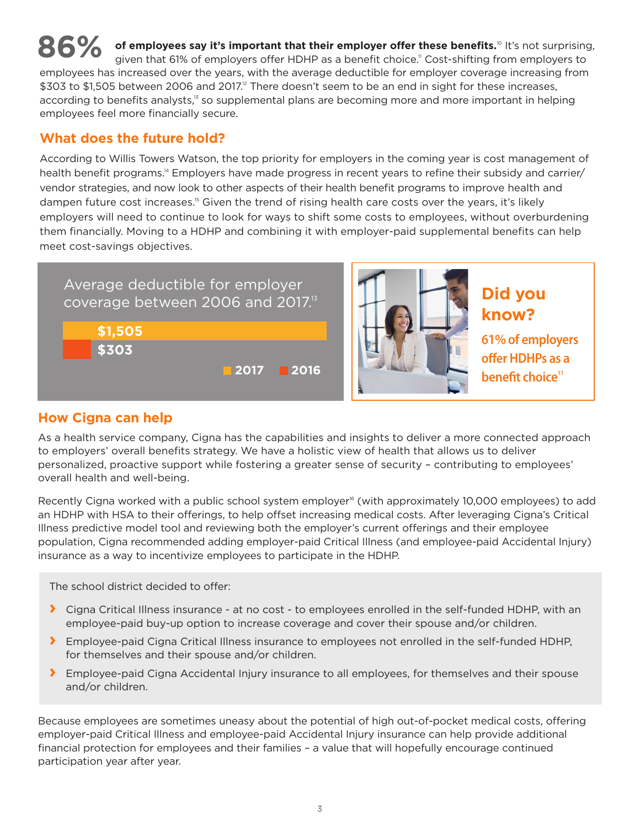**86%** of employees say it's important that their employer offer these benefits.<sup>10</sup> It's not surprising, given that 61% of employers offer HDHP as a benefit choice.<sup>11</sup> Cost-shifting from employers to given that 61% of employers offer HDHP as a benefit choice." Cost-shifting from employers to employees has increased over the years, with the average deductible for employer coverage increasing from \$303 to \$1,505 between 2006 and 2017.<sup>2</sup> There doesn't seem to be an end in sight for these increases, according to benefits analysts,<sup>13</sup> so supplemental plans are becoming more and more important in helping employees feel more financially secure.

### **What does the future hold?**

According to Willis Towers Watson, the top priority for employers in the coming year is cost management of health benefit programs.<sup>14</sup> Employers have made progress in recent years to refine their subsidy and carrier/ vendor strategies, and now look to other aspects of their health benefit programs to improve health and dampen future cost increases.<sup>15</sup> Given the trend of rising health care costs over the years, it's likely employers will need to continue to look for ways to shift some costs to employees, without overburdening them financially. Moving to a HDHP and combining it with employer-paid supplemental benefits can help meet cost-savings objectives.





**know?** 

**61% of employers offer HDHPs as a benefit choice**<sup>11</sup>

# **How Cigna can help**

As a health service company, Cigna has the capabilities and insights to deliver a more connected approach to employers' overall benefits strategy. We have a holistic view of health that allows us to deliver personalized, proactive support while fostering a greater sense of security – contributing to employees' overall health and well-being.

Recently Cigna worked with a public school system employer<sup>®</sup> (with approximately 10,000 employees) to add an HDHP with HSA to their offerings, to help offset increasing medical costs. After leveraging Cigna's Critical Illness predictive model tool and reviewing both the employer's current offerings and their employee population, Cigna recommended adding employer-paid Critical Illness (and employee-paid Accidental Injury) insurance as a way to incentivize employees to participate in the HDHP.

The school district decided to offer:

- **›** Cigna Critical Illness insurance at no cost to employees enrolled in the self-funded HDHP, with an employee-paid buy-up option to increase coverage and cover their spouse and/or children.
- **›** Employee-paid Cigna Critical Illness insurance to employees not enrolled in the self-funded HDHP, for themselves and their spouse and/or children.
- **›** Employee-paid Cigna Accidental Injury insurance to all employees, for themselves and their spouse and/or children.

Because employees are sometimes uneasy about the potential of high out-of-pocket medical costs, offering employer-paid Critical Illness and employee-paid Accidental Injury insurance can help provide additional financial protection for employees and their families – a value that will hopefully encourage continued participation year after year.